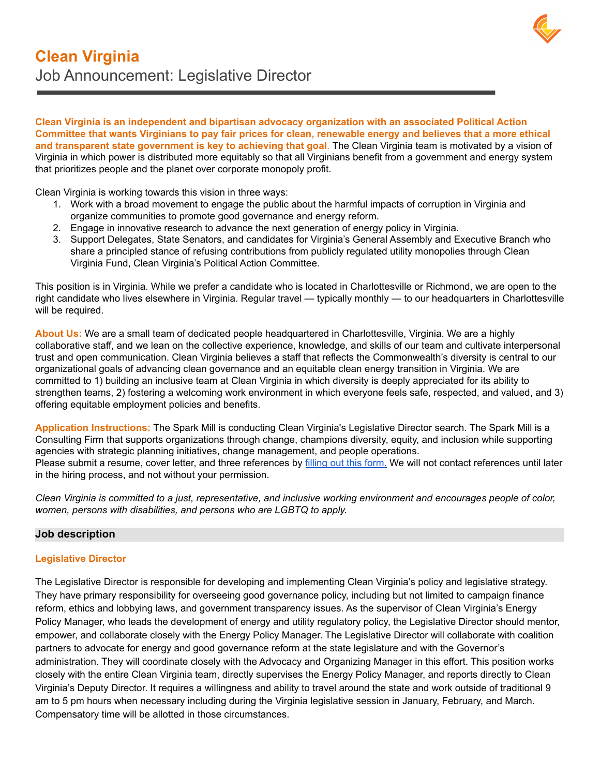**Clean Virginia is an independent and bipartisan advocacy organization with an associated Political Action** Committee that wants Virginians to pay fair prices for clean, renewable energy and believes that a more ethical **and transparent state government is key to achieving that goal**. The Clean Virginia team is motivated by a vision of Virginia in which power is distributed more equitably so that all Virginians benefit from a government and energy system that prioritizes people and the planet over corporate monopoly profit.

Clean Virginia is working towards this vision in three ways:

- 1. Work with a broad movement to engage the public about the harmful impacts of corruption in Virginia and organize communities to promote good governance and energy reform.
- 2. Engage in innovative research to advance the next generation of energy policy in Virginia.
- 3. Support Delegates, State Senators, and candidates for Virginia's General Assembly and Executive Branch who share a principled stance of refusing contributions from publicly regulated utility monopolies through Clean Virginia Fund, Clean Virginia's Political Action Committee.

This position is in Virginia. While we prefer a candidate who is located in Charlottesville or Richmond, we are open to the right candidate who lives elsewhere in Virginia. Regular travel — typically monthly — to our headquarters in Charlottesville will be required.

**About Us:** We are a small team of dedicated people headquartered in Charlottesville, Virginia. We are a highly collaborative staff, and we lean on the collective experience, knowledge, and skills of our team and cultivate interpersonal trust and open communication. Clean Virginia believes a staff that reflects the Commonwealth's diversity is central to our organizational goals of advancing clean governance and an equitable clean energy transition in Virginia. We are committed to 1) building an inclusive team at Clean Virginia in which diversity is deeply appreciated for its ability to strengthen teams, 2) fostering a welcoming work environment in which everyone feels safe, respected, and valued, and 3) offering equitable employment policies and benefits.

**Application Instructions:** The Spark Mill is conducting Clean Virginia's Legislative Director search. The Spark Mill is a Consulting Firm that supports organizations through change, champions diversity, equity, and inclusion while supporting agencies with strategic planning initiatives, change management, and people operations. Please submit a resume, cover letter, and three references by filling out this [form.](https://docs.google.com/forms/d/e/1FAIpQLSeAgNAv_c6ysvRJ3kOE39BdEwv79s_3apF7LhDd1etjKYLQOw/viewform?usp=sf_link) We will not contact references until later in the hiring process, and not without your permission.

Clean Virginia is committed to a just, representative, and inclusive working environment and encourages people of color, *women, persons with disabilities, and persons who are LGBTQ to apply.*

## **Job description**

## **Legislative Director**

The Legislative Director is responsible for developing and implementing Clean Virginia's policy and legislative strategy. They have primary responsibility for overseeing good governance policy, including but not limited to campaign finance reform, ethics and lobbying laws, and government transparency issues. As the supervisor of Clean Virginia's Energy Policy Manager, who leads the development of energy and utility regulatory policy, the Legislative Director should mentor, empower, and collaborate closely with the Energy Policy Manager. The Legislative Director will collaborate with coalition partners to advocate for energy and good governance reform at the state legislature and with the Governor's administration. They will coordinate closely with the Advocacy and Organizing Manager in this effort. This position works closely with the entire Clean Virginia team, directly supervises the Energy Policy Manager, and reports directly to Clean Virginia's Deputy Director. It requires a willingness and ability to travel around the state and work outside of traditional 9 am to 5 pm hours when necessary including during the Virginia legislative session in January, February, and March. Compensatory time will be allotted in those circumstances.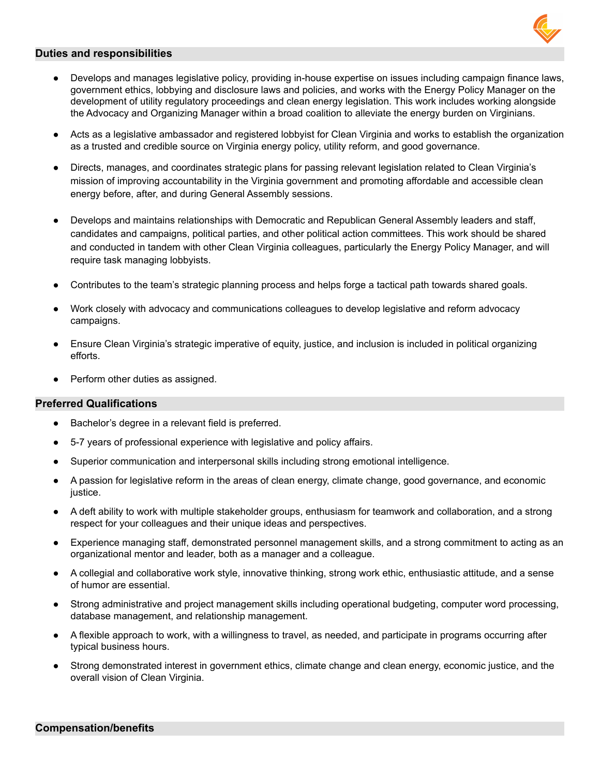

## **Duties and responsibilities**

- Develops and manages legislative policy, providing in-house expertise on issues including campaign finance laws, government ethics, lobbying and disclosure laws and policies, and works with the Energy Policy Manager on the development of utility regulatory proceedings and clean energy legislation. This work includes working alongside the Advocacy and Organizing Manager within a broad coalition to alleviate the energy burden on Virginians.
- Acts as a legislative ambassador and registered lobbyist for Clean Virginia and works to establish the organization as a trusted and credible source on Virginia energy policy, utility reform, and good governance.
- Directs, manages, and coordinates strategic plans for passing relevant legislation related to Clean Virginia's mission of improving accountability in the Virginia government and promoting affordable and accessible clean energy before, after, and during General Assembly sessions.
- Develops and maintains relationships with Democratic and Republican General Assembly leaders and staff, candidates and campaigns, political parties, and other political action committees. This work should be shared and conducted in tandem with other Clean Virginia colleagues, particularly the Energy Policy Manager, and will require task managing lobbyists.
- Contributes to the team's strategic planning process and helps forge a tactical path towards shared goals.
- Work closely with advocacy and communications colleagues to develop legislative and reform advocacy campaigns.
- Ensure Clean Virginia's strategic imperative of equity, justice, and inclusion is included in political organizing efforts.
- Perform other duties as assigned.

## **Preferred Qualifications**

- Bachelor's degree in a relevant field is preferred.
- 5-7 years of professional experience with legislative and policy affairs.
- Superior communication and interpersonal skills including strong emotional intelligence.
- A passion for legislative reform in the areas of clean energy, climate change, good governance, and economic justice.
- A deft ability to work with multiple stakeholder groups, enthusiasm for teamwork and collaboration, and a strong respect for your colleagues and their unique ideas and perspectives.
- Experience managing staff, demonstrated personnel management skills, and a strong commitment to acting as an organizational mentor and leader, both as a manager and a colleague.
- A collegial and collaborative work style, innovative thinking, strong work ethic, enthusiastic attitude, and a sense of humor are essential.
- Strong administrative and project management skills including operational budgeting, computer word processing, database management, and relationship management.
- A flexible approach to work, with a willingness to travel, as needed, and participate in programs occurring after typical business hours.
- Strong demonstrated interest in government ethics, climate change and clean energy, economic justice, and the overall vision of Clean Virginia.